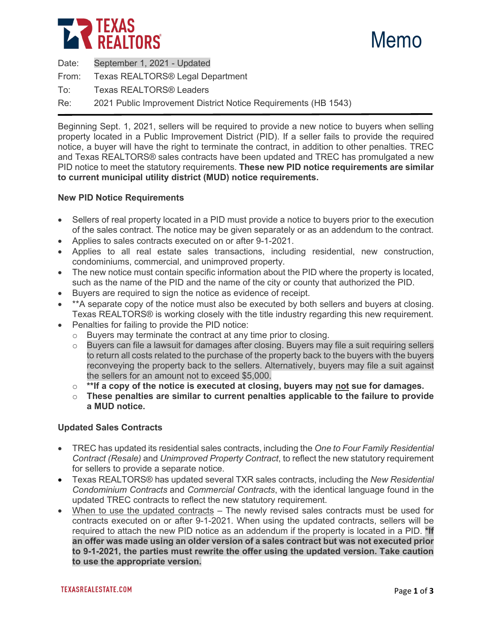



Date: September 1, 2021 - Updated

From: Texas REALTORS® Legal Department

To: Texas REALTORS® Leaders

Re: 2021 Public Improvement District Notice Requirements (HB 1543)

Beginning Sept. 1, 2021, sellers will be required to provide a new notice to buyers when selling property located in a Public Improvement District (PID). If a seller fails to provide the required notice, a buyer will have the right to terminate the contract, in addition to other penalties. TREC and Texas REALTORS® sales contracts have been updated and TREC has promulgated a new PID notice to meet the statutory requirements. **These new PID notice requirements are similar to current municipal utility district (MUD) notice requirements.**

# **New PID Notice Requirements**

- Sellers of real property located in a PID must provide a notice to buyers prior to the execution of the sales contract. The notice may be given separately or as an addendum to the contract.
- Applies to sales contracts executed on or after 9-1-2021.
- Applies to all real estate sales transactions, including residential, new construction, condominiums, commercial, and unimproved property.
- The new notice must contain specific information about the PID where the property is located, such as the name of the PID and the name of the city or county that authorized the PID.
- Buyers are required to sign the notice as evidence of receipt.
- \*\*A separate copy of the notice must also be executed by both sellers and buyers at closing. Texas REALTORS® is working closely with the title industry regarding this new requirement.
- Penalties for failing to provide the PID notice:
	- o Buyers may terminate the contract at any time prior to closing.
	- Buyers can file a lawsuit for damages after closing. Buyers may file a suit requiring sellers to return all costs related to the purchase of the property back to the buyers with the buyers reconveying the property back to the sellers. Alternatively, buyers may file a suit against the sellers for an amount not to exceed \$5,000.
	- o **\*\*If a copy of the notice is executed at closing, buyers may not sue for damages.**
	- o **These penalties are similar to current penalties applicable to the failure to provide a MUD notice.**

### **Updated Sales Contracts**

- TREC has updated its residential sales contracts, including the *One to Four Family Residential Contract (Resale)* and *Unimproved Property Contract*, to reflect the new statutory requirement for sellers to provide a separate notice.
- Texas REALTORS® has updated several TXR sales contracts, including the *New Residential Condominium Contracts* and *Commercial Contracts*, with the identical language found in the updated TREC contracts to reflect the new statutory requirement.
- When to use the updated contracts The newly revised sales contracts must be used for contracts executed on or after 9-1-2021. When using the updated contracts, sellers will be required to attach the new PID notice as an addendum if the property is located in a PID. **\*If an offer was made using an older version of a sales contract but was not executed prior to 9-1-2021, the parties must rewrite the offer using the updated version. Take caution to use the appropriate version.**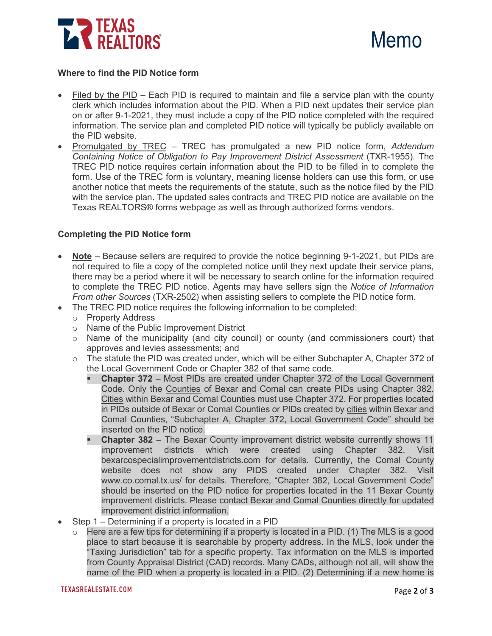



## **Where to find the PID Notice form**

- Filed by the PID Each PID is required to maintain and file a service plan with the county clerk which includes information about the PID. When a PID next updates their service plan on or after 9-1-2021, they must include a copy of the PID notice completed with the required information. The service plan and completed PID notice will typically be publicly available on the PID website.
- Promulgated by TREC TREC has promulgated a new PID notice form, *Addendum Containing Notice of Obligation to Pay Improvement District Assessment* (TXR-1955). The TREC PID notice requires certain information about the PID to be filled in to complete the form. Use of the TREC form is voluntary, meaning license holders can use this form, or use another notice that meets the requirements of the statute, such as the notice filed by the PID with the service plan. The updated sales contracts and TREC PID notice are available on the Texas REALTORS® forms webpage as well as through authorized forms vendors.

## **Completing the PID Notice form**

- **Note** Because sellers are required to provide the notice beginning 9-1-2021, but PIDs are not required to file a copy of the completed notice until they next update their service plans, there may be a period where it will be necessary to search online for the information required to complete the TREC PID notice. Agents may have sellers sign the *Notice of Information From other Sources* (TXR-2502) when assisting sellers to complete the PID notice form.
- The TREC PID notice requires the following information to be completed:
	- o Property Address
	- o Name of the Public Improvement District
	- $\circ$  Name of the municipality (and city council) or county (and commissioners court) that approves and levies assessments; and
	- $\circ$  The statute the PID was created under, which will be either Subchapter A, Chapter 372 of the Local Government Code or Chapter 382 of that same code.
		- **Chapter 372** Most PIDs are created under Chapter 372 of the Local Government Code. Only the Counties of Bexar and Comal can create PIDs using Chapter 382. Cities within Bexar and Comal Counties must use Chapter 372. For properties located in PIDs outside of Bexar or Comal Counties or PIDs created by cities within Bexar and Comal Counties, "Subchapter A, Chapter 372, Local Government Code" should be inserted on the PID notice.
		- **Chapter 382** The Bexar County improvement district website currently shows 11<br>improvement districts which were created using Chapter 382. Visit improvement districts which were bexarcospecialimprovementdistricts.com for details. Currently, the Comal County website does not show any PIDS created under Chapter 382. Visit www.co.comal.tx.us/ for details. Therefore, "Chapter 382, Local Government Code" should be inserted on the PID notice for properties located in the 11 Bexar County improvement districts. Please contact Bexar and Comal Counties directly for updated improvement district information.
- Step 1 Determining if a property is located in a PID
	- $\circ$  Here are a few tips for determining if a property is located in a PID. (1) The MLS is a good place to start because it is searchable by property address. In the MLS, look under the "Taxing Jurisdiction" tab for a specific property. Tax information on the MLS is imported from County Appraisal District (CAD) records. Many CADs, although not all, will show the name of the PID when a property is located in a PID. (2) Determining if a new home is